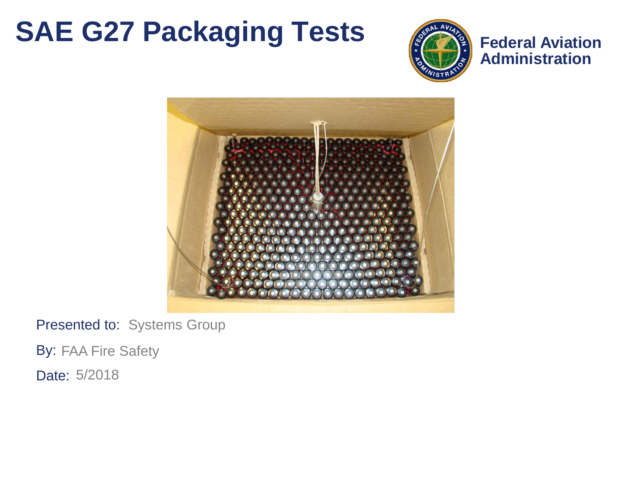#### **SAE G27 Packaging Tests**



**Federal Aviation Administration**



Presented to: Systems Group

By: FAA Fire Safety

Date: 5/2018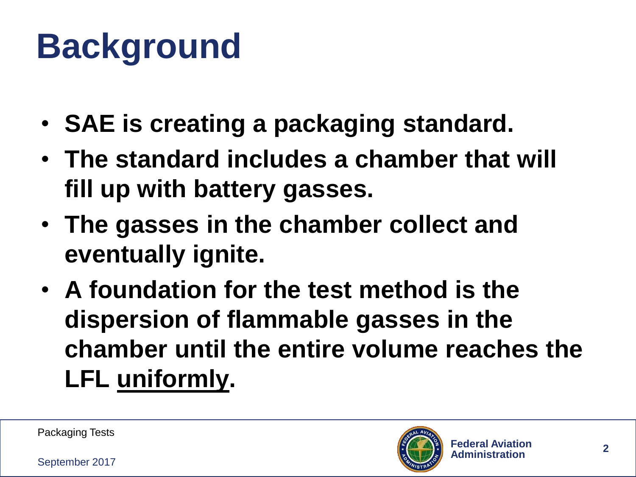# **Background**

- **SAE is creating a packaging standard.**
- **The standard includes a chamber that will fill up with battery gasses.**
- **The gasses in the chamber collect and eventually ignite.**
- **A foundation for the test method is the dispersion of flammable gasses in the chamber until the entire volume reaches the LFL uniformly.**

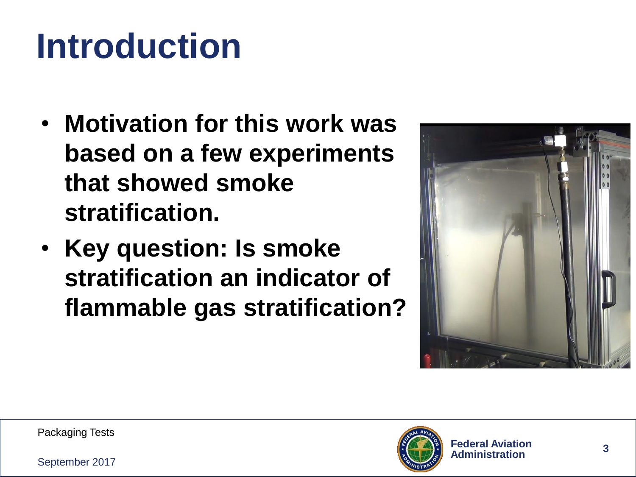# **Introduction**

- **Motivation for this work was based on a few experiments that showed smoke stratification.**
- **Key question: Is smoke stratification an indicator of flammable gas stratification?**



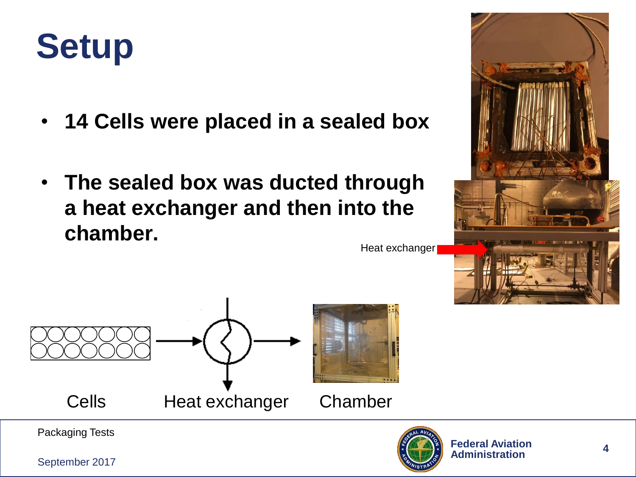

- **14 Cells were placed in a sealed box**
- **The sealed box was ducted through a heat exchanger and then into the chamber.**

Heat exchanger



Packaging Tests

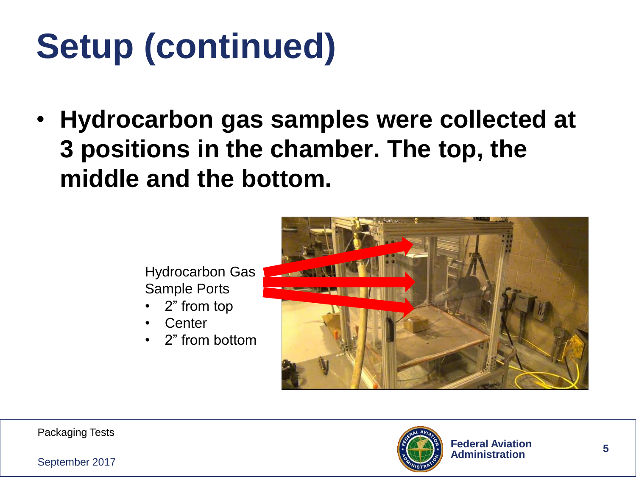# **Setup (continued)**

• **Hydrocarbon gas samples were collected at 3 positions in the chamber. The top, the middle and the bottom.**

> Hydrocarbon Gas Sample Ports

- 2" from top
- **Center**
- 2" from bottom



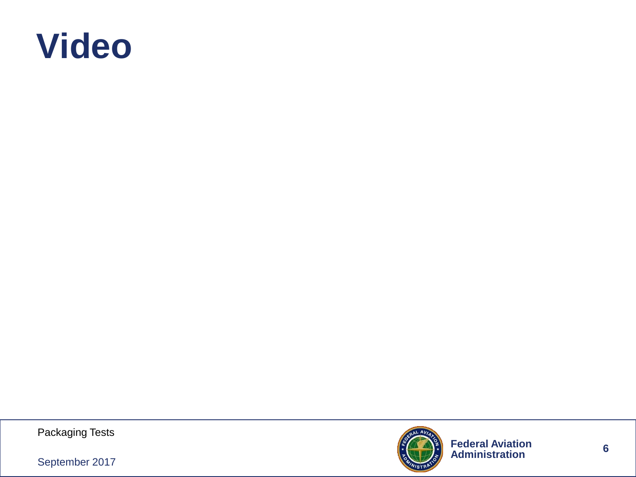

Packaging Tests



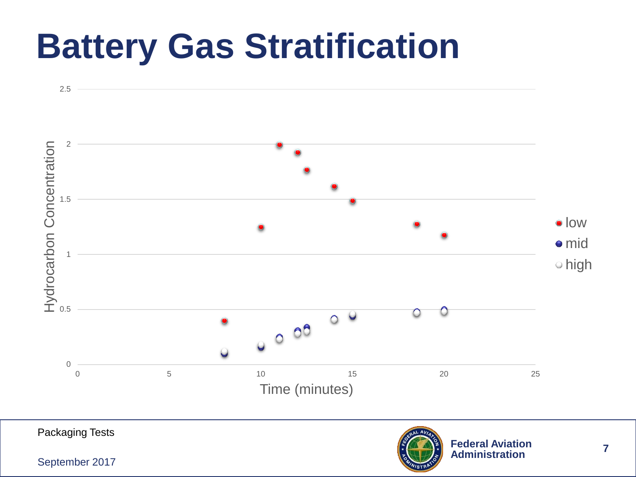### **Battery Gas Stratification**



September 2017

**7**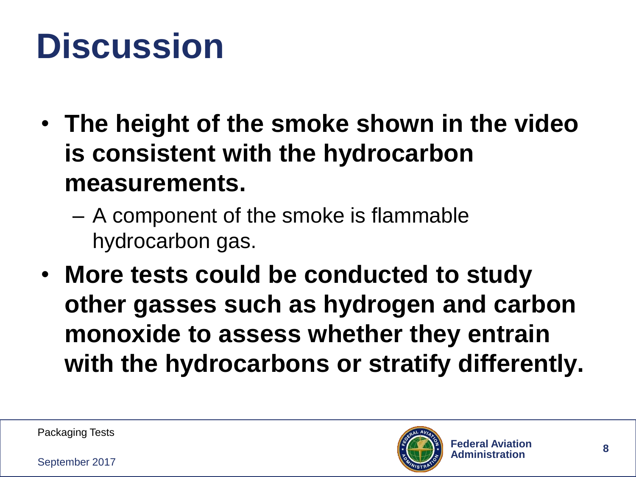### **Discussion**

- **The height of the smoke shown in the video is consistent with the hydrocarbon measurements.**
	- A component of the smoke is flammable hydrocarbon gas.
- **More tests could be conducted to study other gasses such as hydrogen and carbon monoxide to assess whether they entrain with the hydrocarbons or stratify differently.**

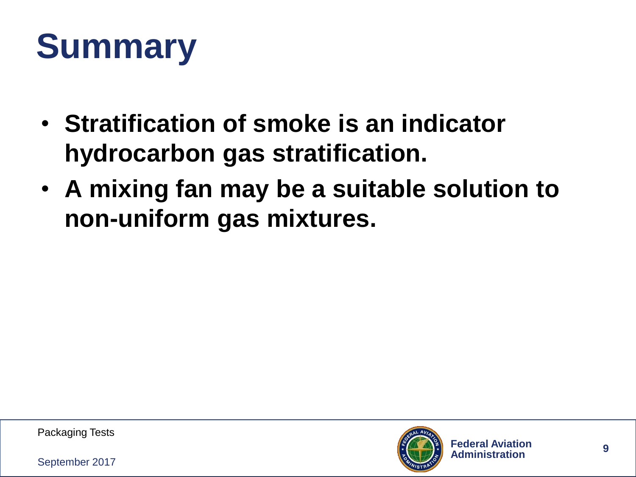# **Summary**

- **Stratification of smoke is an indicator hydrocarbon gas stratification.**
- **A mixing fan may be a suitable solution to non-uniform gas mixtures.**